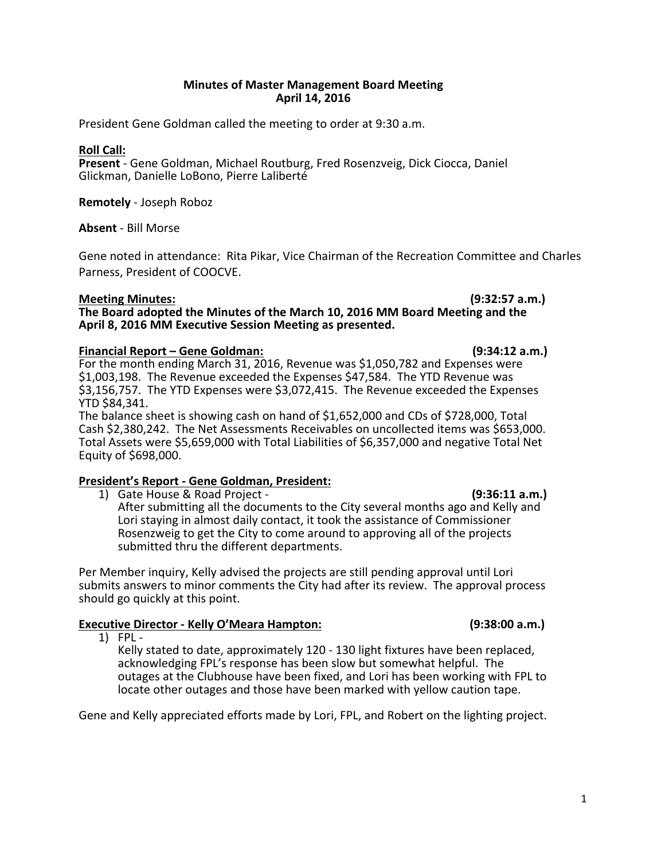1

# **Minutes of Master Management Board Meeting April 14, 2016**

President Gene Goldman called the meeting to order at 9:30 a.m.

## **Roll Call:**

Present - Gene Goldman, Michael Routburg, Fred Rosenzveig, Dick Ciocca, Daniel Glickman, Danielle LoBono, Pierre Laliberté

**Remotely** - Joseph Roboz

**Absent** - Bill Morse

Gene noted in attendance: Rita Pikar, Vice Chairman of the Recreation Committee and Charles Parness, President of COOCVE.

## **Meeting Minutes: (9:32:57 a.m.)**

The Board adopted the Minutes of the March 10, 2016 MM Board Meeting and the April 8, 2016 MM Executive Session Meeting as presented.

# **Financial Report – Gene Goldman: (9:34:12 a.m.)**

For the month ending March 31, 2016, Revenue was \$1,050,782 and Expenses were \$1,003,198. The Revenue exceeded the Expenses \$47,584. The YTD Revenue was \$3,156,757. The YTD Expenses were \$3,072,415. The Revenue exceeded the Expenses YTD \$84,341.

The balance sheet is showing cash on hand of  $$1,652,000$  and CDs of  $$728,000$ , Total Cash \$2,380,242. The Net Assessments Receivables on uncollected items was \$653,000. Total Assets were \$5,659,000 with Total Liabilities of \$6,357,000 and negative Total Net Equity of \$698,000. 

# **President's Report - Gene Goldman, President:**

1) Gate House & Road Project - **And Communist Communist Communist Communist Communist Communist Communist Communist Communist Communist Communist Communist Communist Communist Communist Communist Communist Communist Commun** 

After submitting all the documents to the City several months ago and Kelly and Lori staying in almost daily contact, it took the assistance of Commissioner Rosenzweig to get the City to come around to approving all of the projects submitted thru the different departments.

Per Member inquiry, Kelly advised the projects are still pending approval until Lori submits answers to minor comments the City had after its review. The approval process should go quickly at this point.

# **Executive Director - Kelly O'Meara Hampton: (9:38:00 a.m.)**

 $1)$  FPL -

Kelly stated to date, approximately 120 - 130 light fixtures have been replaced, acknowledging FPL's response has been slow but somewhat helpful. The outages at the Clubhouse have been fixed, and Lori has been working with FPL to locate other outages and those have been marked with yellow caution tape.

Gene and Kelly appreciated efforts made by Lori, FPL, and Robert on the lighting project.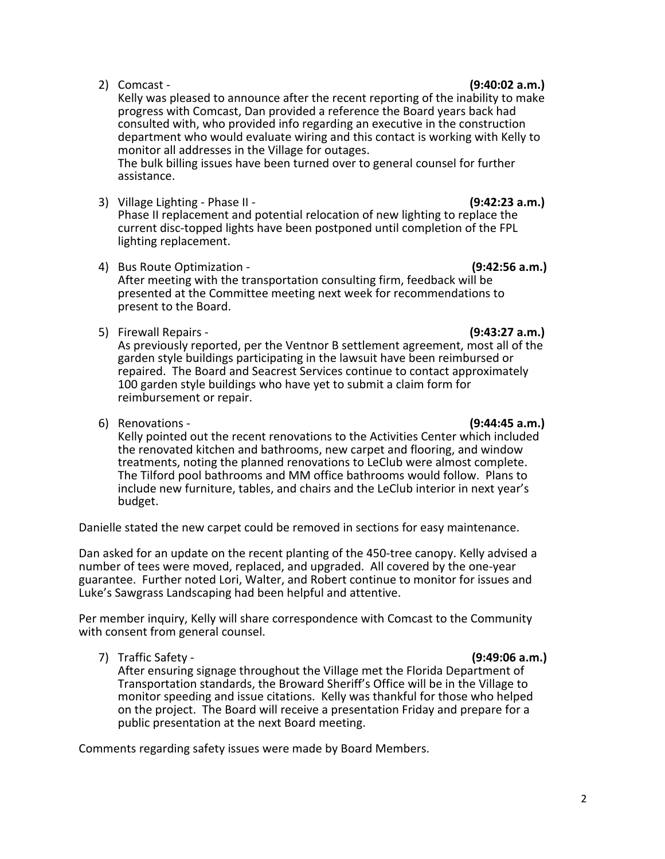Kelly was pleased to announce after the recent reporting of the inability to make progress with Comcast, Dan provided a reference the Board years back had consulted with, who provided info regarding an executive in the construction department who would evaluate wiring and this contact is working with Kelly to monitor all addresses in the Village for outages.

The bulk billing issues have been turned over to general counsel for further assistance. 

3) Village Lighting - Phase II -  **(9:42:23 a.m.)**

Phase II replacement and potential relocation of new lighting to replace the current disc-topped lights have been postponed until completion of the FPL lighting replacement.

- 4) Bus Route Optimization *All also equals (9:42:56 a.m.)* *(9:42:56 a.m.)* After meeting with the transportation consulting firm, feedback will be presented at the Committee meeting next week for recommendations to present to the Board.
- 5) Firewall Repairs - **(9:43:27 a.m.)**

As previously reported, per the Ventnor B settlement agreement, most all of the garden style buildings participating in the lawsuit have been reimbursed or repaired. The Board and Seacrest Services continue to contact approximately 100 garden style buildings who have yet to submit a claim form for reimbursement or repair.

**6)** Renovations - **(9:44:45 a.m.)** 

Kelly pointed out the recent renovations to the Activities Center which included the renovated kitchen and bathrooms, new carpet and flooring, and window treatments, noting the planned renovations to LeClub were almost complete.<br>The Tilford pool bathrooms and MM office bathrooms would follow. Plans to include new furniture, tables, and chairs and the LeClub interior in next year's budget. 

Danielle stated the new carpet could be removed in sections for easy maintenance.

Dan asked for an update on the recent planting of the 450-tree canopy. Kelly advised a number of tees were moved, replaced, and upgraded. All covered by the one-year guarantee. Further noted Lori, Walter, and Robert continue to monitor for issues and Luke's Sawgrass Landscaping had been helpful and attentive.

Per member inquiry, Kelly will share correspondence with Comcast to the Community with consent from general counsel.

7) Traffic Safety -  **(9:49:06 a.m.)** 

After ensuring signage throughout the Village met the Florida Department of Transportation standards, the Broward Sheriff's Office will be in the Village to monitor speeding and issue citations. Kelly was thankful for those who helped on the project. The Board will receive a presentation Friday and prepare for a public presentation at the next Board meeting.

Comments regarding safety issues were made by Board Members.

# 2) Comcast - **(9:40:02 a.m.)**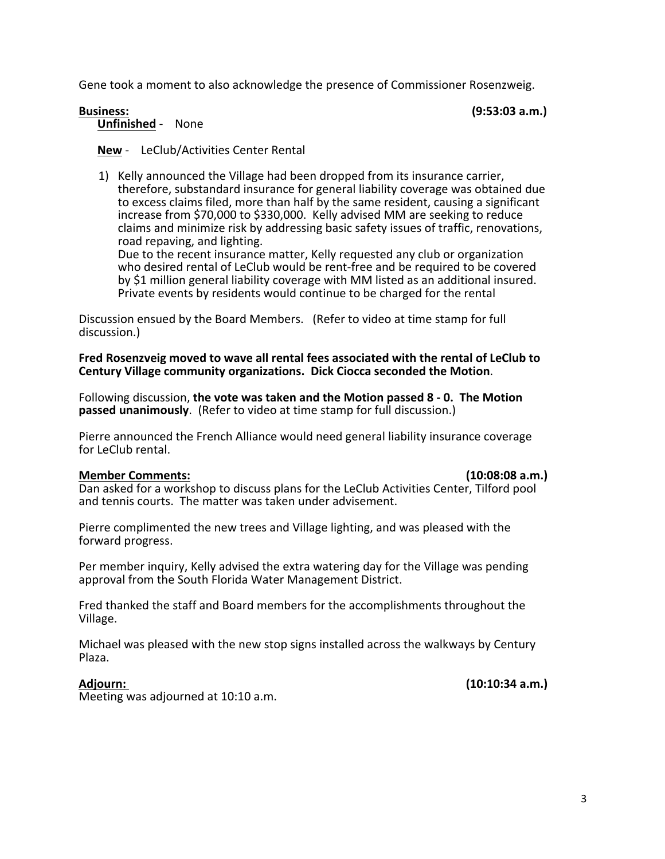Gene took a moment to also acknowledge the presence of Commissioner Rosenzweig.

# **Business: (9:53:03 a.m.) Unfinished** - None

# **New** - LeClub/Activities Center Rental

1) Kelly announced the Village had been dropped from its insurance carrier, therefore, substandard insurance for general liability coverage was obtained due to excess claims filed, more than half by the same resident, causing a significant increase from \$70,000 to \$330,000. Kelly advised MM are seeking to reduce claims and minimize risk by addressing basic safety issues of traffic, renovations,<br>
road repaving, and lighting.<br>
Due to the recent insurance matter, Kelly requested any club or organization who desired rental of LeClub would be rent-free and be required to be covered

by \$1 million general liability coverage with MM listed as an additional insured.<br>Private events by residents would continue to be charged for the rental

Discussion ensued by the Board Members. (Refer to video at time stamp for full discussion.)

Fred Rosenzveig moved to wave all rental fees associated with the rental of LeClub to Century Village community organizations. Dick Ciocca seconded the Motion.

Following discussion, **the vote was taken and the Motion passed 8 - 0. The Motion passed unanimously**. (Refer to video at time stamp for full discussion.)

Pierre announced the French Alliance would need general liability insurance coverage for LeClub rental.

## **Member Comments: (10:08:08 a.m.)**

Dan asked for a workshop to discuss plans for the LeClub Activities Center, Tilford pool and tennis courts. The matter was taken under advisement.

Pierre complimented the new trees and Village lighting, and was pleased with the forward progress.

Per member inquiry, Kelly advised the extra watering day for the Village was pending approval from the South Florida Water Management District.

Fred thanked the staff and Board members for the accomplishments throughout the Village. 

Michael was pleased with the new stop signs installed across the walkways by Century Plaza.

Meeting was adjourned at 10:10 a.m.

**Adjourn: (10:10:34 a.m.)**